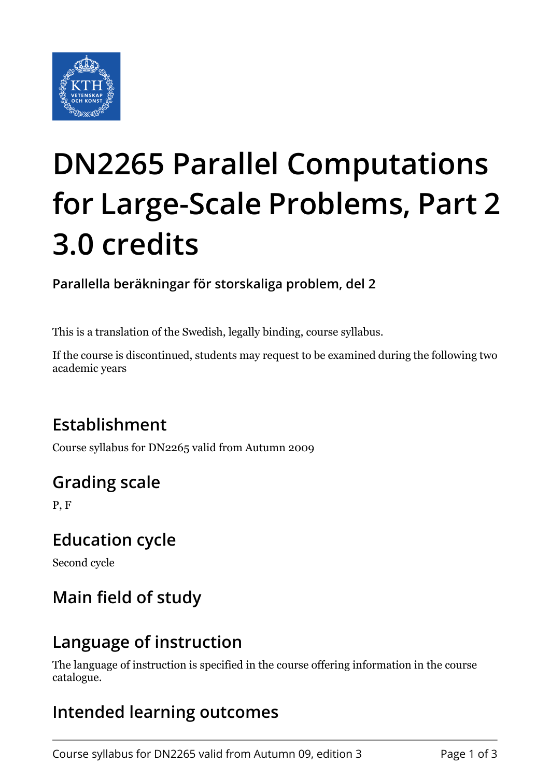

# **DN2265 Parallel Computations for Large-Scale Problems, Part 2 3.0 credits**

**Parallella beräkningar för storskaliga problem, del 2**

This is a translation of the Swedish, legally binding, course syllabus.

If the course is discontinued, students may request to be examined during the following two academic years

# **Establishment**

Course syllabus for DN2265 valid from Autumn 2009

# **Grading scale**

P, F

## **Education cycle**

Second cycle

# **Main field of study**

## **Language of instruction**

The language of instruction is specified in the course offering information in the course catalogue.

## **Intended learning outcomes**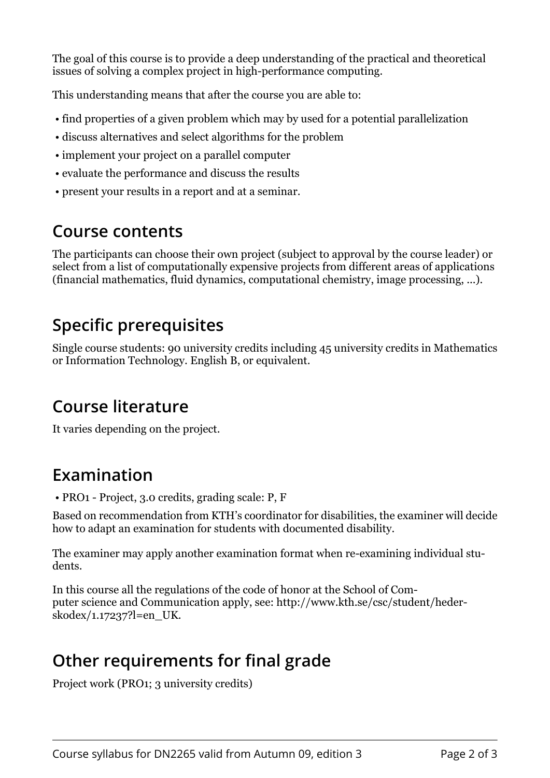The goal of this course is to provide a deep understanding of the practical and theoretical issues of solving a complex project in high-performance computing.

This understanding means that after the course you are able to:

- find properties of a given problem which may by used for a potential parallelization
- discuss alternatives and select algorithms for the problem
- implement your project on a parallel computer
- evaluate the performance and discuss the results
- present your results in a report and at a seminar.

#### **Course contents**

The participants can choose their own project (subject to approval by the course leader) or select from a list of computationally expensive projects from different areas of applications (financial mathematics, fluid dynamics, computational chemistry, image processing, ...).

## **Specific prerequisites**

Single course students: 90 university credits including 45 university credits in Mathematics or Information Technology. English B, or equivalent.

#### **Course literature**

It varies depending on the project.

## **Examination**

• PRO1 - Project, 3.0 credits, grading scale: P, F

Based on recommendation from KTH's coordinator for disabilities, the examiner will decide how to adapt an examination for students with documented disability.

The examiner may apply another examination format when re-examining individual students.

In this course all the regulations of the code of honor at the School of Computer science and Communication apply, see: http://www.kth.se/csc/student/hederskodex/1.17237?l=en\_UK.

## **Other requirements for final grade**

Project work (PRO1; 3 university credits)